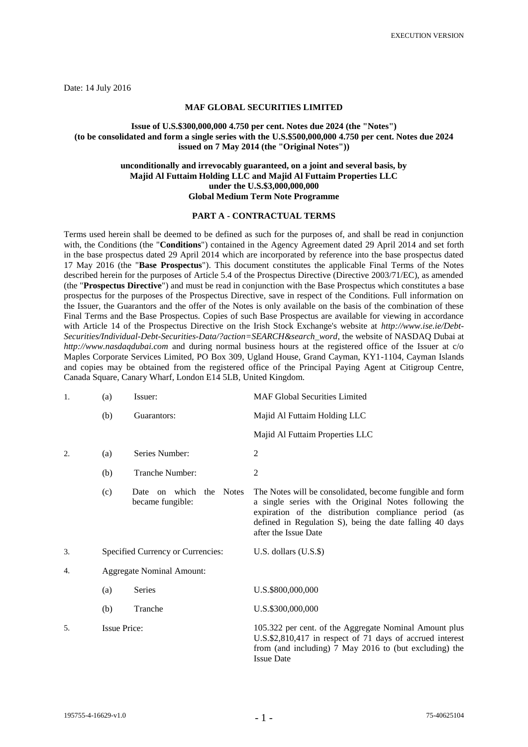Date: 14 July 2016

## **MAF GLOBAL SECURITIES LIMITED**

## **Issue of U.S.\$300,000,000 4.750 per cent. Notes due 2024 (the "Notes") (to be consolidated and form a single series with the U.S.\$500,000,000 4.750 per cent. Notes due 2024 issued on 7 May 2014 (the "Original Notes"))**

## **unconditionally and irrevocably guaranteed, on a joint and several basis, by Majid Al Futtaim Holding LLC and Majid Al Futtaim Properties LLC under the U.S.\$3,000,000,000 Global Medium Term Note Programme**

## **PART A - CONTRACTUAL TERMS**

Terms used herein shall be deemed to be defined as such for the purposes of, and shall be read in conjunction with, the Conditions (the "**Conditions**") contained in the Agency Agreement dated 29 April 2014 and set forth in the base prospectus dated 29 April 2014 which are incorporated by reference into the base prospectus dated 17 May 2016 (the "**Base Prospectus**"). This document constitutes the applicable Final Terms of the Notes described herein for the purposes of Article 5.4 of the Prospectus Directive (Directive 2003/71/EC), as amended (the "**Prospectus Directive**") and must be read in conjunction with the Base Prospectus which constitutes a base prospectus for the purposes of the Prospectus Directive, save in respect of the Conditions. Full information on the Issuer, the Guarantors and the offer of the Notes is only available on the basis of the combination of these Final Terms and the Base Prospectus. Copies of such Base Prospectus are available for viewing in accordance with Article 14 of the Prospectus Directive on the Irish Stock Exchange's website at *http://www.ise.ie/Debt-Securities/Individual-Debt-Securities-Data/?action=SEARCH&search\_word*, the website of NASDAQ Dubai at *http://www.nasdaqdubai.com* and during normal business hours at the registered office of the Issuer at c/o Maples Corporate Services Limited, PO Box 309, Ugland House, Grand Cayman, KY1-1104, Cayman Islands and copies may be obtained from the registered office of the Principal Paying Agent at Citigroup Centre, Canada Square, Canary Wharf, London E14 5LB, United Kingdom.

| 1. | (a)                               | Issuer:                                        | <b>MAF Global Securities Limited</b>                                                                                                                                                                                                                          |
|----|-----------------------------------|------------------------------------------------|---------------------------------------------------------------------------------------------------------------------------------------------------------------------------------------------------------------------------------------------------------------|
|    | (b)                               | Guarantors:                                    | Majid Al Futtaim Holding LLC                                                                                                                                                                                                                                  |
|    |                                   |                                                | Majid Al Futtaim Properties LLC                                                                                                                                                                                                                               |
| 2. | (a)                               | Series Number:                                 | $\mathbf{2}$                                                                                                                                                                                                                                                  |
|    | (b)                               | Tranche Number:                                | 2                                                                                                                                                                                                                                                             |
|    | (c)                               | on which the Notes<br>Date<br>became fungible: | The Notes will be consolidated, become fungible and form<br>a single series with the Original Notes following the<br>expiration of the distribution compliance period (as<br>defined in Regulation S), being the date falling 40 days<br>after the Issue Date |
| 3. | Specified Currency or Currencies: |                                                | U.S. dollars $(U.S.\$ \$)                                                                                                                                                                                                                                     |
| 4. | <b>Aggregate Nominal Amount:</b>  |                                                |                                                                                                                                                                                                                                                               |
|    | (a)                               | Series                                         | U.S.\$800,000,000                                                                                                                                                                                                                                             |
|    | (b)                               | Tranche                                        | U.S.\$300,000,000                                                                                                                                                                                                                                             |
| 5. | <b>Issue Price:</b>               |                                                | 105.322 per cent. of the Aggregate Nominal Amount plus<br>U.S.\$2,810,417 in respect of 71 days of accrued interest<br>from (and including) 7 May 2016 to (but excluding) the<br><b>Issue Date</b>                                                            |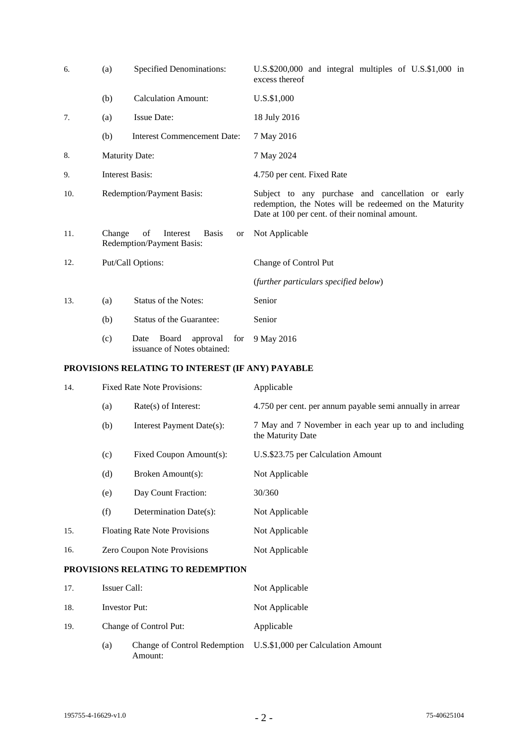| 6.  | (a)                                                                                    | <b>Specified Denominations:</b>                                 | U.S.\$200,000 and integral multiples of U.S.\$1,000 in<br>excess thereof                                                                                      |
|-----|----------------------------------------------------------------------------------------|-----------------------------------------------------------------|---------------------------------------------------------------------------------------------------------------------------------------------------------------|
|     | (b)                                                                                    | <b>Calculation Amount:</b>                                      | U.S.\$1,000                                                                                                                                                   |
| 7.  | (a)                                                                                    | <b>Issue Date:</b>                                              | 18 July 2016                                                                                                                                                  |
|     | (b)                                                                                    | <b>Interest Commencement Date:</b>                              | 7 May 2016                                                                                                                                                    |
| 8.  | <b>Maturity Date:</b>                                                                  |                                                                 | 7 May 2024                                                                                                                                                    |
| 9.  | <b>Interest Basis:</b>                                                                 |                                                                 | 4.750 per cent. Fixed Rate                                                                                                                                    |
| 10. | Redemption/Payment Basis:                                                              |                                                                 | Subject to any purchase and cancellation or early<br>redemption, the Notes will be redeemed on the Maturity<br>Date at 100 per cent. of their nominal amount. |
| 11. | Change<br>of<br>Interest<br><b>Basis</b><br><sub>or</sub><br>Redemption/Payment Basis: |                                                                 | Not Applicable                                                                                                                                                |
| 12. | Put/Call Options:                                                                      |                                                                 | Change of Control Put                                                                                                                                         |
|     |                                                                                        |                                                                 | (further particulars specified below)                                                                                                                         |
| 13. | (a)                                                                                    | Status of the Notes:                                            | Senior                                                                                                                                                        |
|     | (b)                                                                                    | Status of the Guarantee:                                        | Senior                                                                                                                                                        |
|     | (c)                                                                                    | Board<br>for<br>Date<br>approval<br>issuance of Notes obtained: | 9 May 2016                                                                                                                                                    |

# **PROVISIONS RELATING TO INTEREST (IF ANY) PAYABLE**

| 14.                                      | <b>Fixed Rate Note Provisions:</b>   |                           | Applicable                                                                 |
|------------------------------------------|--------------------------------------|---------------------------|----------------------------------------------------------------------------|
|                                          | $Rate(s)$ of Interest:<br>(a)        |                           | 4.750 per cent. per annum payable semi annually in arrear                  |
|                                          | (b)                                  | Interest Payment Date(s): | 7 May and 7 November in each year up to and including<br>the Maturity Date |
|                                          | (c)                                  | Fixed Coupon Amount(s):   | U.S.\$23.75 per Calculation Amount                                         |
|                                          | (d)                                  | Broken Amount(s):         | Not Applicable                                                             |
|                                          | (e)                                  | Day Count Fraction:       | 30/360                                                                     |
|                                          | (f)                                  | Determination Date(s):    | Not Applicable                                                             |
| 15.                                      | <b>Floating Rate Note Provisions</b> |                           | Not Applicable                                                             |
| 16.                                      | Zero Coupon Note Provisions          |                           | Not Applicable                                                             |
| <b>PROVISIONS RELATING TO REDEMPTION</b> |                                      |                           |                                                                            |
| 17.                                      | Issuer Call:                         |                           | Not Applicable                                                             |

| .   | 199401 Can.   |                        | TWE Applicable                                                  |  |
|-----|---------------|------------------------|-----------------------------------------------------------------|--|
| 18. | Investor Put: |                        | Not Applicable                                                  |  |
| 19. |               | Change of Control Put: | Applicable                                                      |  |
|     | (a)           | Amount:                | Change of Control Redemption U.S.\$1,000 per Calculation Amount |  |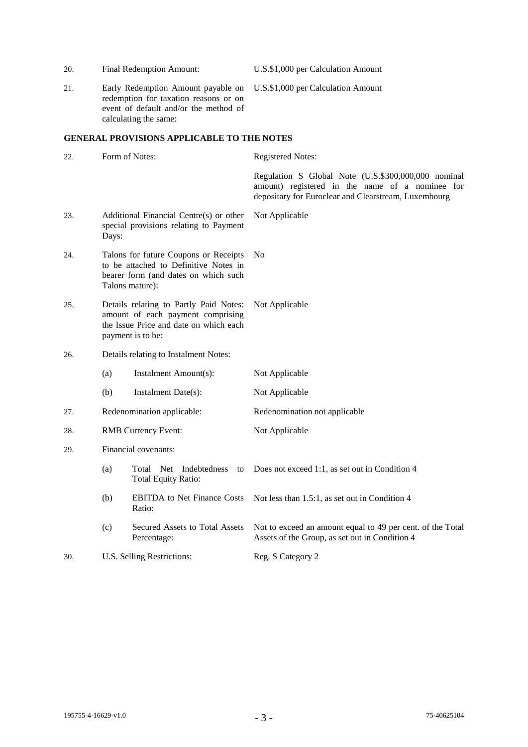| 20. |                                                                                                                                            | Final Redemption Amount:                                                                                                                      | U.S.\$1,000 per Calculation Amount                                                                                                                             |
|-----|--------------------------------------------------------------------------------------------------------------------------------------------|-----------------------------------------------------------------------------------------------------------------------------------------------|----------------------------------------------------------------------------------------------------------------------------------------------------------------|
| 21. |                                                                                                                                            | Early Redemption Amount payable on<br>redemption for taxation reasons or on<br>event of default and/or the method of<br>calculating the same: | U.S.\$1,000 per Calculation Amount                                                                                                                             |
|     |                                                                                                                                            | <b>GENERAL PROVISIONS APPLICABLE TO THE NOTES</b>                                                                                             |                                                                                                                                                                |
| 22. | Form of Notes:                                                                                                                             |                                                                                                                                               | <b>Registered Notes:</b>                                                                                                                                       |
|     |                                                                                                                                            |                                                                                                                                               | Regulation S Global Note (U.S.\$300,000,000 nominal<br>amount) registered in the name of a nominee for<br>depositary for Euroclear and Clearstream, Luxembourg |
| 23. | Additional Financial Centre(s) or other<br>special provisions relating to Payment<br>Days:                                                 |                                                                                                                                               | Not Applicable                                                                                                                                                 |
| 24. | Talons for future Coupons or Receipts<br>to be attached to Definitive Notes in<br>bearer form (and dates on which such<br>Talons mature):  |                                                                                                                                               | No                                                                                                                                                             |
| 25. | Details relating to Partly Paid Notes:<br>amount of each payment comprising<br>the Issue Price and date on which each<br>payment is to be: |                                                                                                                                               | Not Applicable                                                                                                                                                 |
| 26. | Details relating to Instalment Notes:                                                                                                      |                                                                                                                                               |                                                                                                                                                                |
|     | (a)                                                                                                                                        | Instalment Amount(s):                                                                                                                         | Not Applicable                                                                                                                                                 |
|     | (b)                                                                                                                                        | Instalment Date(s):                                                                                                                           | Not Applicable                                                                                                                                                 |
| 27. | Redenomination applicable:                                                                                                                 |                                                                                                                                               | Redenomination not applicable                                                                                                                                  |
| 28. | <b>RMB</b> Currency Event:                                                                                                                 |                                                                                                                                               | Not Applicable                                                                                                                                                 |
| 29. | Financial covenants:                                                                                                                       |                                                                                                                                               |                                                                                                                                                                |
|     | (a)                                                                                                                                        | Total Net Indebtedness<br>to<br><b>Total Equity Ratio:</b>                                                                                    | Does not exceed 1:1, as set out in Condition 4                                                                                                                 |
|     | (b)                                                                                                                                        | <b>EBITDA</b> to Net Finance Costs<br>Ratio:                                                                                                  | Not less than 1.5:1, as set out in Condition 4                                                                                                                 |
|     | (c)                                                                                                                                        | Secured Assets to Total Assets<br>Percentage:                                                                                                 | Not to exceed an amount equal to 49 per cent. of the Total<br>Assets of the Group, as set out in Condition 4                                                   |
| 30. | U.S. Selling Restrictions:                                                                                                                 |                                                                                                                                               | Reg. S Category 2                                                                                                                                              |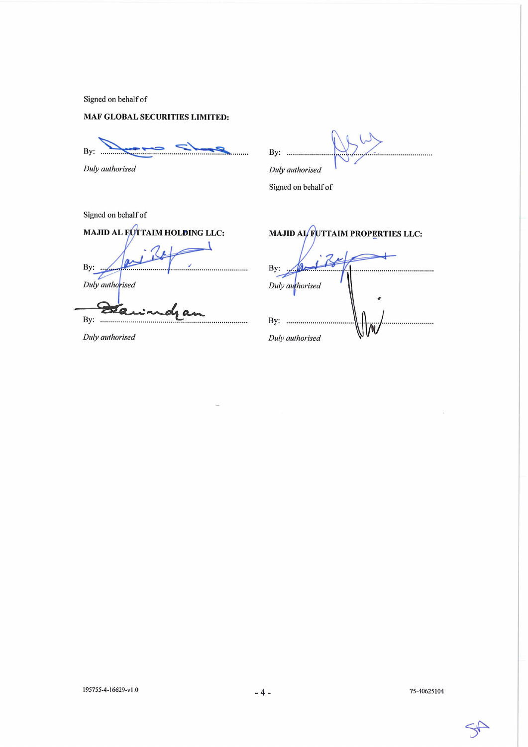Signed on behalf of

## **MAF GLOBAL SECURITIES LIMITED:**

By: .... . . . . . . . . . . .

Duly authorised

By: ............

Duly authorised

Signed on behalf of

Signed on behalf of MAJID AL FOTTAIM HOLDING LLC: By: Duly authorised

 $\mathbf{a}$ By: .........

Duly authorised

MAJID AL FUTTAIM PROPERTIES LLC: By: Duly authorised By: ............... . . . . . . . . . . . . . . Duly authorised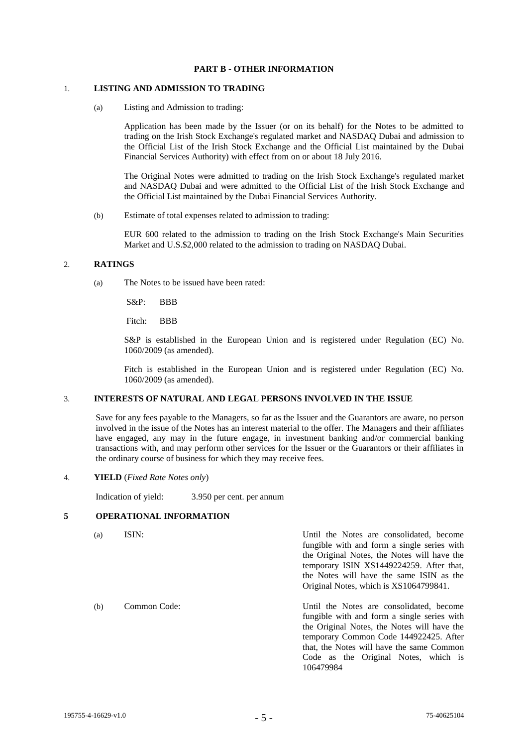## **PART B - OTHER INFORMATION**

## 1. **LISTING AND ADMISSION TO TRADING**

(a) Listing and Admission to trading:

Application has been made by the Issuer (or on its behalf) for the Notes to be admitted to trading on the Irish Stock Exchange's regulated market and NASDAQ Dubai and admission to the Official List of the Irish Stock Exchange and the Official List maintained by the Dubai Financial Services Authority) with effect from on or about 18 July 2016.

The Original Notes were admitted to trading on the Irish Stock Exchange's regulated market and NASDAQ Dubai and were admitted to the Official List of the Irish Stock Exchange and the Official List maintained by the Dubai Financial Services Authority.

(b) Estimate of total expenses related to admission to trading:

EUR 600 related to the admission to trading on the Irish Stock Exchange's Main Securities Market and U.S.\$2,000 related to the admission to trading on NASDAQ Dubai.

#### 2. **RATINGS**

(a) The Notes to be issued have been rated:

S&P: BBB

Fitch: BBB

S&P is established in the European Union and is registered under Regulation (EC) No. 1060/2009 (as amended).

Fitch is established in the European Union and is registered under Regulation (EC) No. 1060/2009 (as amended).

### 3. **INTERESTS OF NATURAL AND LEGAL PERSONS INVOLVED IN THE ISSUE**

Save for any fees payable to the Managers, so far as the Issuer and the Guarantors are aware, no person involved in the issue of the Notes has an interest material to the offer. The Managers and their affiliates have engaged, any may in the future engage, in investment banking and/or commercial banking transactions with, and may perform other services for the Issuer or the Guarantors or their affiliates in the ordinary course of business for which they may receive fees.

#### 4. **YIELD** (*Fixed Rate Notes only*)

Indication of yield: 3.950 per cent. per annum

## **5 OPERATIONAL INFORMATION**

(a) ISIN: Until the Notes are consolidated, become fungible with and form a single series with the Original Notes, the Notes will have the temporary ISIN XS1449224259. After that, the Notes will have the same ISIN as the Original Notes, which is XS1064799841. (b) Common Code: Until the Notes are consolidated, become fungible with and form a single series with the Original Notes, the Notes will have the temporary Common Code 144922425. After that, the Notes will have the same Common Code as the Original Notes, which is 106479984